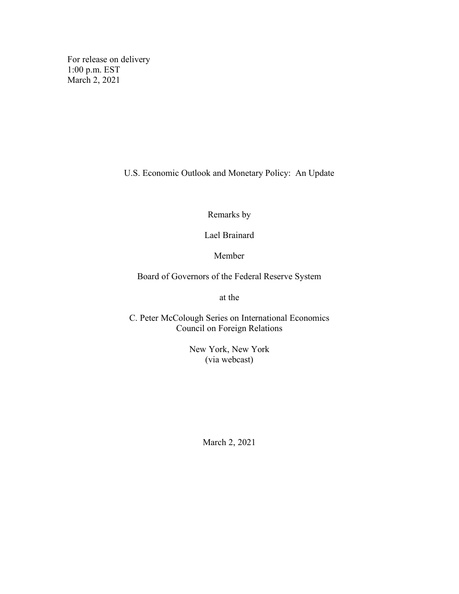For release on delivery 1:00 p.m. EST March 2, 2021

U.S. Economic Outlook and Monetary Policy: An Update

Remarks by

Lael Brainard

Member

Board of Governors of the Federal Reserve System

at the

C. Peter McColough Series on International Economics Council on Foreign Relations

> New York, New York (via webcast)

> > March 2, 2021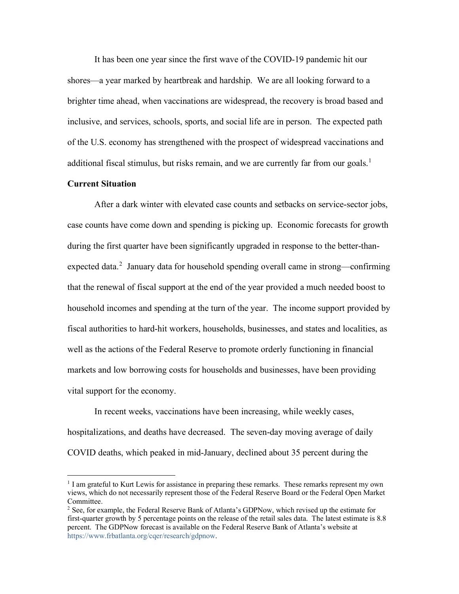It has been one year since the first wave of the COVID-19 pandemic hit our shores—a year marked by heartbreak and hardship. We are all looking forward to a brighter time ahead, when vaccinations are widespread, the recovery is broad based and inclusive, and services, schools, sports, and social life are in person. The expected path of the U.S. economy has strengthened with the prospect of widespread vaccinations and additional fiscal stimulus, but risks remain, and we are currently far from our goals.<sup>[1](#page-1-0)</sup>

## **Current Situation**

After a dark winter with elevated case counts and setbacks on service-sector jobs, case counts have come down and spending is picking up. Economic forecasts for growth during the first quarter have been significantly upgraded in response to the better-than-expected data.<sup>[2](#page-1-1)</sup> January data for household spending overall came in strong—confirming that the renewal of fiscal support at the end of the year provided a much needed boost to household incomes and spending at the turn of the year. The income support provided by fiscal authorities to hard-hit workers, households, businesses, and states and localities, as well as the actions of the Federal Reserve to promote orderly functioning in financial markets and low borrowing costs for households and businesses, have been providing vital support for the economy.

In recent weeks, vaccinations have been increasing, while weekly cases, hospitalizations, and deaths have decreased. The seven-day moving average of daily COVID deaths, which peaked in mid-January, declined about 35 percent during the

<span id="page-1-0"></span> $1$  I am grateful to Kurt Lewis for assistance in preparing these remarks. These remarks represent my own views, which do not necessarily represent those of the Federal Reserve Board or the Federal Open Market Committee.

<span id="page-1-1"></span> $2$  See, for example, the Federal Reserve Bank of Atlanta's GDPNow, which revised up the estimate for first-quarter growth by 5 percentage points on the release of the retail sales data. The latest estimate is 8.8 percent. The GDPNow forecast is available on the Federal Reserve Bank of Atlanta's website at [https://www.frbatlanta.org/cqer/research/gdpnow.](https://www.frbatlanta.org/cqer/research/gdpnow)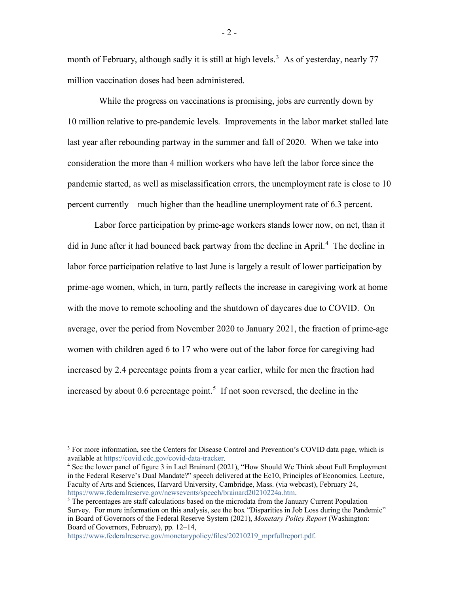month of February, although sadly it is still at high levels.<sup>[3](#page-2-0)</sup> As of yesterday, nearly 77 million vaccination doses had been administered.

 While the progress on vaccinations is promising, jobs are currently down by 10 million relative to pre-pandemic levels. Improvements in the labor market stalled late last year after rebounding partway in the summer and fall of 2020. When we take into consideration the more than 4 million workers who have left the labor force since the pandemic started, as well as misclassification errors, the unemployment rate is close to 10 percent currently—much higher than the headline unemployment rate of 6.3 percent.

Labor force participation by prime-age workers stands lower now, on net, than it did in June after it had bounced back partway from the decline in April.<sup>[4](#page-2-1)</sup> The decline in labor force participation relative to last June is largely a result of lower participation by prime-age women, which, in turn, partly reflects the increase in caregiving work at home with the move to remote schooling and the shutdown of daycares due to COVID. On average, over the period from November 2020 to January 2021, the fraction of prime-age women with children aged 6 to 17 who were out of the labor force for caregiving had increased by 2.4 percentage points from a year earlier, while for men the fraction had increased by about  $0.6$  percentage point.<sup>[5](#page-2-2)</sup> If not soon reversed, the decline in the

[https://www.federalreserve.gov/monetarypolicy/files/20210219\\_mprfullreport.pdf.](https://www.federalreserve.gov/monetarypolicy/files/20210219_mprfullreport.pdf)

- 2 -

<span id="page-2-0"></span><sup>&</sup>lt;sup>3</sup> For more information, see the Centers for Disease Control and Prevention's COVID data page, which is available at [https://covid.cdc.gov/covid-data-tracker.](https://covid.cdc.gov/covid-data-tracker)

<span id="page-2-1"></span><sup>4</sup> See the lower panel of figure 3 in Lael Brainard (2021), "How Should We Think about Full Employment in the Federal Reserve's Dual Mandate?" speech delivered at the Ec10, Principles of Economics, Lecture, Faculty of Arts and Sciences, Harvard University, Cambridge, Mass. (via webcast), February 24, [https://www.federalreserve.gov/newsevents/speech/brainard20210224a.htm.](https://www.federalreserve.gov/newsevents/speech/brainard20210224a.htm)

<span id="page-2-2"></span> $<sup>5</sup>$  The percentages are staff calculations based on the microdata from the January Current Population</sup> Survey. For more information on this analysis, see the box "Disparities in Job Loss during the Pandemic" in Board of Governors of the Federal Reserve System (2021), *Monetary Policy Report* (Washington: Board of Governors, February), pp. 12–14,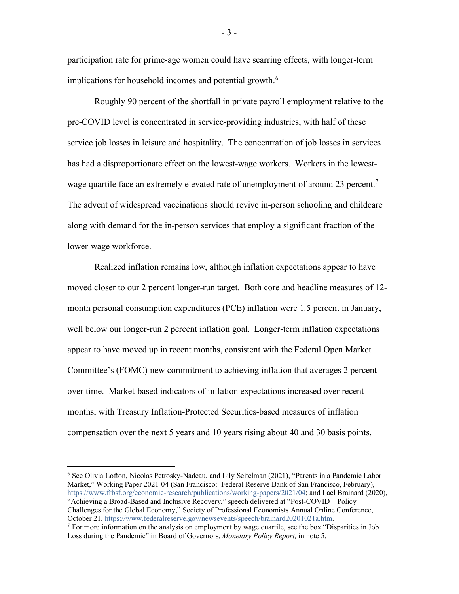participation rate for prime‑age women could have scarring effects, with longer-term implications for household incomes and potential growth. $^6$  $^6$ 

Roughly 90 percent of the shortfall in private payroll employment relative to the pre-COVID level is concentrated in service-providing industries, with half of these service job losses in leisure and hospitality. The concentration of job losses in services has had a disproportionate effect on the lowest-wage workers. Workers in the lowest-wage quartile face an extremely elevated rate of unemployment of around 23 percent.<sup>[7](#page-3-1)</sup> The advent of widespread vaccinations should revive in-person schooling and childcare along with demand for the in-person services that employ a significant fraction of the lower-wage workforce.

Realized inflation remains low, although inflation expectations appear to have moved closer to our 2 percent longer-run target. Both core and headline measures of 12 month personal consumption expenditures (PCE) inflation were 1.5 percent in January, well below our longer-run 2 percent inflation goal. Longer-term inflation expectations appear to have moved up in recent months, consistent with the Federal Open Market Committee's (FOMC) new commitment to achieving inflation that averages 2 percent over time. Market-based indicators of inflation expectations increased over recent months, with Treasury Inflation-Protected Securities-based measures of inflation compensation over the next 5 years and 10 years rising about 40 and 30 basis points,

<span id="page-3-0"></span><sup>6</sup> See Olivia Lofton, Nicolas Petrosky-Nadeau, and Lily Seitelman (2021), "Parents in a Pandemic Labor Market," Working Paper 2021-04 (San Francisco: Federal Reserve Bank of San Francisco, February), [https://www.frbsf.org/economic-research/publications/working-papers/2021/04;](https://www.frbsf.org/economic-research/publications/working-papers/2021/04) and Lael Brainard (2020), "Achieving a Broad-Based and Inclusive Recovery," speech delivered at "Post-COVID—Policy Challenges for the Global Economy," Society of Professional Economists Annual Online Conference, October 21[, https://www.federalreserve.gov/newsevents/speech/brainard20201021a.htm.](https://www.federalreserve.gov/newsevents/speech/brainard20201021a.htm)

<span id="page-3-1"></span> $<sup>7</sup>$  For more information on the analysis on employment by wage quartile, see the box "Disparities in Job</sup> Loss during the Pandemic" in Board of Governors, *Monetary Policy Report,* in note 5.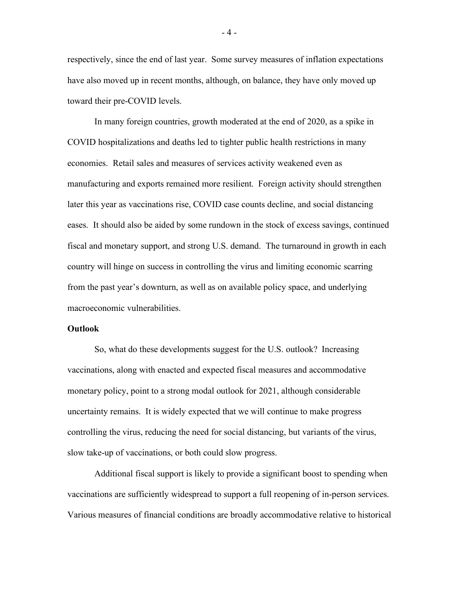respectively, since the end of last year. Some survey measures of inflation expectations have also moved up in recent months, although, on balance, they have only moved up toward their pre-COVID levels.

In many foreign countries, growth moderated at the end of 2020, as a spike in COVID hospitalizations and deaths led to tighter public health restrictions in many economies. Retail sales and measures of services activity weakened even as manufacturing and exports remained more resilient. Foreign activity should strengthen later this year as vaccinations rise, COVID case counts decline, and social distancing eases. It should also be aided by some rundown in the stock of excess savings, continued fiscal and monetary support, and strong U.S. demand. The turnaround in growth in each country will hinge on success in controlling the virus and limiting economic scarring from the past year's downturn, as well as on available policy space, and underlying macroeconomic vulnerabilities.

## **Outlook**

So, what do these developments suggest for the U.S. outlook? Increasing vaccinations, along with enacted and expected fiscal measures and accommodative monetary policy, point to a strong modal outlook for 2021, although considerable uncertainty remains. It is widely expected that we will continue to make progress controlling the virus, reducing the need for social distancing, but variants of the virus, slow take-up of vaccinations, or both could slow progress.

Additional fiscal support is likely to provide a significant boost to spending when vaccinations are sufficiently widespread to support a full reopening of in-person services. Various measures of financial conditions are broadly accommodative relative to historical

- 4 -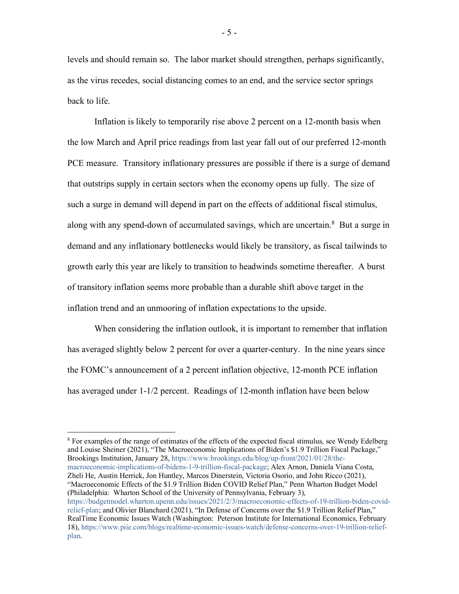levels and should remain so. The labor market should strengthen, perhaps significantly, as the virus recedes, social distancing comes to an end, and the service sector springs back to life.

Inflation is likely to temporarily rise above 2 percent on a 12-month basis when the low March and April price readings from last year fall out of our preferred 12-month PCE measure. Transitory inflationary pressures are possible if there is a surge of demand that outstrips supply in certain sectors when the economy opens up fully. The size of such a surge in demand will depend in part on the effects of additional fiscal stimulus, along with any spend-down of accumulated savings, which are uncertain.<sup>[8](#page-5-0)</sup> But a surge in demand and any inflationary bottlenecks would likely be transitory, as fiscal tailwinds to growth early this year are likely to transition to headwinds sometime thereafter. A burst of transitory inflation seems more probable than a durable shift above target in the inflation trend and an unmooring of inflation expectations to the upside.

When considering the inflation outlook, it is important to remember that inflation has averaged slightly below 2 percent for over a quarter-century. In the nine years since the FOMC's announcement of a 2 percent inflation objective, 12-month PCE inflation has averaged under 1-1/2 percent. Readings of 12-month inflation have been below

<span id="page-5-0"></span><sup>8</sup> For examples of the range of estimates of the effects of the expected fiscal stimulus, see Wendy Edelberg and Louise Sheiner (2021), "The Macroeconomic Implications of Biden's \$1.9 Trillion Fiscal Package," Brookings Institution, January 28, [https://www.brookings.edu/blog/up-front/2021/01/28/the](https://www.brookings.edu/blog/up-front/2021/01/28/the-macroeconomic-implications-of-bidens-1-9-trillion-fiscal-package/)[macroeconomic-implications-of-bidens-1-9-trillion-fiscal-package;](https://www.brookings.edu/blog/up-front/2021/01/28/the-macroeconomic-implications-of-bidens-1-9-trillion-fiscal-package/) Alex Arnon, Daniela Viana Costa, Zheli He, Austin Herrick, Jon Huntley, Marcos Dinerstein, Victoria Osorio, and John Ricco (2021), "Macroeconomic Effects of the \$1.9 Trillion Biden COVID Relief Plan," Penn Wharton Budget Model (Philadelphia: Wharton School of the University of Pennsylvania, February 3), [https://budgetmodel.wharton.upenn.edu/issues/2021/2/3/macroeconomic-effects-of-19-trillion-biden-covid](https://budgetmodel.wharton.upenn.edu/issues/2021/2/3/macroeconomic-effects-of-19-trillion-biden-covid-relief-plan)[relief-plan;](https://budgetmodel.wharton.upenn.edu/issues/2021/2/3/macroeconomic-effects-of-19-trillion-biden-covid-relief-plan) and Olivier Blanchard (2021), "In Defense of Concerns over the \$1.9 Trillion Relief Plan," RealTime Economic Issues Watch (Washington: Peterson Institute for International Economics, February 18), [https://www.piie.com/blogs/realtime-economic-issues-watch/defense-concerns-over-19-trillion-relief](https://www.piie.com/blogs/realtime-economic-issues-watch/defense-concerns-over-19-trillion-relief-plan)[plan.](https://www.piie.com/blogs/realtime-economic-issues-watch/defense-concerns-over-19-trillion-relief-plan)

- 5 -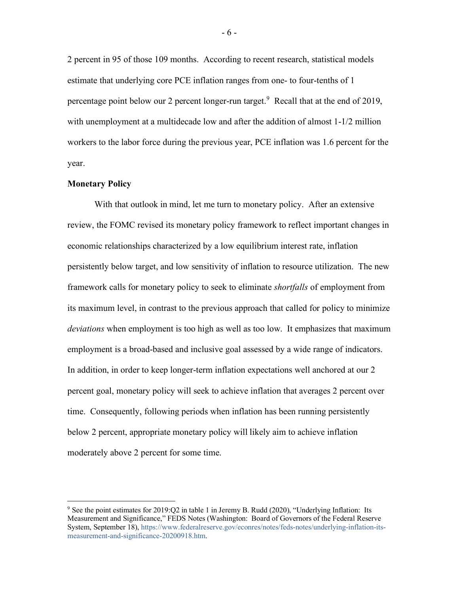2 percent in 95 of those 109 months. According to recent research, statistical models estimate that underlying core PCE inflation ranges from one- to four-tenths of 1 percentage point below our 2 percent longer-run target.<sup>[9](#page-6-0)</sup> Recall that at the end of 2019, with unemployment at a multidecade low and after the addition of almost 1-1/2 million workers to the labor force during the previous year, PCE inflation was 1.6 percent for the year.

## **Monetary Policy**

With that outlook in mind, let me turn to monetary policy. After an extensive review, the FOMC revised its monetary policy framework to reflect important changes in economic relationships characterized by a low equilibrium interest rate, inflation persistently below target, and low sensitivity of inflation to resource utilization. The new framework calls for monetary policy to seek to eliminate *shortfalls* of employment from its maximum level, in contrast to the previous approach that called for policy to minimize *deviations* when employment is too high as well as too low. It emphasizes that maximum employment is a broad-based and inclusive goal assessed by a wide range of indicators. In addition, in order to keep longer-term inflation expectations well anchored at our 2 percent goal, monetary policy will seek to achieve inflation that averages 2 percent over time. Consequently, following periods when inflation has been running persistently below 2 percent, appropriate monetary policy will likely aim to achieve inflation moderately above 2 percent for some time.

<span id="page-6-0"></span><sup>9</sup> See the point estimates for 2019:Q2 in table 1 in Jeremy B. Rudd (2020), "Underlying Inflation: Its Measurement and Significance," FEDS Notes (Washington: Board of Governors of the Federal Reserve System, September 18), [https://www.federalreserve.gov/econres/notes/feds-notes/underlying-inflation-its](https://www.federalreserve.gov/econres/notes/feds-notes/underlying-inflation-its-measurement-and-significance-20200918.htm)[measurement-and-significance-20200918.htm.](https://www.federalreserve.gov/econres/notes/feds-notes/underlying-inflation-its-measurement-and-significance-20200918.htm)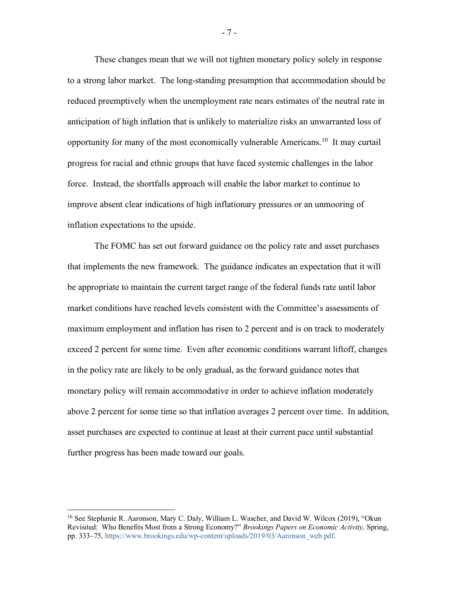These changes mean that we will not tighten monetary policy solely in response to a strong labor market. The long-standing presumption that accommodation should be reduced preemptively when the unemployment rate nears estimates of the neutral rate in anticipation of high inflation that is unlikely to materialize risks an unwarranted loss of opportunity for many of the most economically vulnerable Americans.<sup>10</sup> It may curtail progress for racial and ethnic groups that have faced systemic challenges in the labor force. Instead, the shortfalls approach will enable the labor market to continue to improve absent clear indications of high inflationary pressures or an unmooring of inflation expectations to the upside.

The FOMC has set out forward guidance on the policy rate and asset purchases that implements the new framework. The guidance indicates an expectation that it will be appropriate to maintain the current target range of the federal funds rate until labor market conditions have reached levels consistent with the Committee's assessments of maximum employment and inflation has risen to 2 percent and is on track to moderately exceed 2 percent for some time. Even after economic conditions warrant liftoff, changes in the policy rate are likely to be only gradual, as the forward guidance notes that monetary policy will remain accommodative in order to achieve inflation moderately above 2 percent for some time so that inflation averages 2 percent over time. In addition, asset purchases are expected to continue at least at their current pace until substantial further progress has been made toward our goals.

- 7 -

<span id="page-7-0"></span><sup>10</sup> See Stephanie R. Aaronson, Mary C. Daly, William L. Wascher, and David W. Wilcox (2019), "Okun Revisited: Who Benefits Most from a Strong Economy?" *Brookings Papers on Economic Activity,* Spring, pp. 333–75, [https://www.brookings.edu/wp-content/uploads/2019/03/Aaronson\\_web.pdf.](https://www.brookings.edu/wp-content/uploads/2019/03/Aaronson_web.pdf)